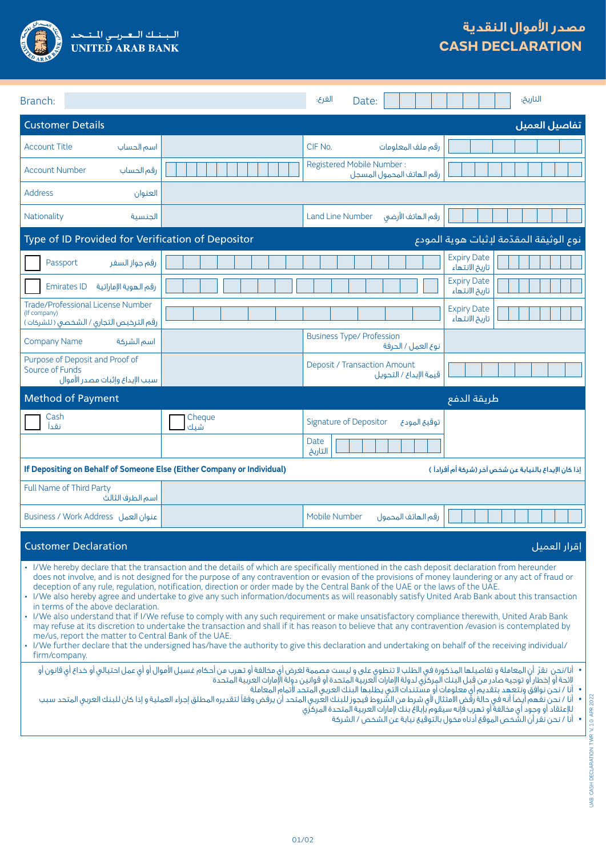

| Branch:                                                                                                                                                                                                                                                                                                                                                                                                                                                                                                                                                                                                                                                                                                                                                                                                                                                                                                                                                                                                                                                                                                                                                                                                                                                                                                                              |               | الغرع؛<br>Date:                                        | التاريخ:                                               |  |
|--------------------------------------------------------------------------------------------------------------------------------------------------------------------------------------------------------------------------------------------------------------------------------------------------------------------------------------------------------------------------------------------------------------------------------------------------------------------------------------------------------------------------------------------------------------------------------------------------------------------------------------------------------------------------------------------------------------------------------------------------------------------------------------------------------------------------------------------------------------------------------------------------------------------------------------------------------------------------------------------------------------------------------------------------------------------------------------------------------------------------------------------------------------------------------------------------------------------------------------------------------------------------------------------------------------------------------------|---------------|--------------------------------------------------------|--------------------------------------------------------|--|
| <b>Customer Details</b>                                                                                                                                                                                                                                                                                                                                                                                                                                                                                                                                                                                                                                                                                                                                                                                                                                                                                                                                                                                                                                                                                                                                                                                                                                                                                                              |               |                                                        | تفاصيل العميل                                          |  |
| <b>Account Title</b><br>اسم الحساب                                                                                                                                                                                                                                                                                                                                                                                                                                                                                                                                                                                                                                                                                                                                                                                                                                                                                                                                                                                                                                                                                                                                                                                                                                                                                                   |               | CIF No.<br>رقم ملف المعلومات                           |                                                        |  |
| <b>Account Number</b><br>رقم الحساب                                                                                                                                                                                                                                                                                                                                                                                                                                                                                                                                                                                                                                                                                                                                                                                                                                                                                                                                                                                                                                                                                                                                                                                                                                                                                                  |               | Registered Mobile Number:<br>رقم الهاتف المحمول المسجل |                                                        |  |
| <b>Address</b><br>العنوان                                                                                                                                                                                                                                                                                                                                                                                                                                                                                                                                                                                                                                                                                                                                                                                                                                                                                                                                                                                                                                                                                                                                                                                                                                                                                                            |               |                                                        |                                                        |  |
| Nationality<br>الحنسىة                                                                                                                                                                                                                                                                                                                                                                                                                                                                                                                                                                                                                                                                                                                                                                                                                                                                                                                                                                                                                                                                                                                                                                                                                                                                                                               |               | رقم الهاتف الأرضى<br><b>Land Line Number</b>           |                                                        |  |
| نوع الوثيقة المقدّمة لإثبات هوية المودع<br>Type of ID Provided for Verification of Depositor                                                                                                                                                                                                                                                                                                                                                                                                                                                                                                                                                                                                                                                                                                                                                                                                                                                                                                                                                                                                                                                                                                                                                                                                                                         |               |                                                        |                                                        |  |
| رقم جواز السفر<br>Passport                                                                                                                                                                                                                                                                                                                                                                                                                                                                                                                                                                                                                                                                                                                                                                                                                                                                                                                                                                                                                                                                                                                                                                                                                                                                                                           |               |                                                        | <b>Expiry Date</b><br>تاريخ الانتهاء                   |  |
| <b>Emirates ID</b><br>رقم الهوية الإماراتية                                                                                                                                                                                                                                                                                                                                                                                                                                                                                                                                                                                                                                                                                                                                                                                                                                                                                                                                                                                                                                                                                                                                                                                                                                                                                          |               |                                                        | <b>Expiry Date</b><br>تاريخ الانتهاء                   |  |
| Trade/Professional License Number<br>(If company)<br>رقم الترخيص التجارى / الشخصى ( للشركات )                                                                                                                                                                                                                                                                                                                                                                                                                                                                                                                                                                                                                                                                                                                                                                                                                                                                                                                                                                                                                                                                                                                                                                                                                                        |               |                                                        | <b>Expiry Date</b><br>تاريخ الانتهاء                   |  |
| <b>Company Name</b><br>اسم الشركة                                                                                                                                                                                                                                                                                                                                                                                                                                                                                                                                                                                                                                                                                                                                                                                                                                                                                                                                                                                                                                                                                                                                                                                                                                                                                                    |               | <b>Business Type/ Profession</b><br>نوع العمل / الحرفة |                                                        |  |
| Purpose of Deposit and Proof of<br>Source of Funds<br>سبب الإيداع وإثبات مصدر الأموال                                                                                                                                                                                                                                                                                                                                                                                                                                                                                                                                                                                                                                                                                                                                                                                                                                                                                                                                                                                                                                                                                                                                                                                                                                                |               | Deposit / Transaction Amount<br>قيمة الإيداع / التحويل |                                                        |  |
| <b>Method of Payment</b><br>طريقة الدفع                                                                                                                                                                                                                                                                                                                                                                                                                                                                                                                                                                                                                                                                                                                                                                                                                                                                                                                                                                                                                                                                                                                                                                                                                                                                                              |               |                                                        |                                                        |  |
| Cash<br>نقدأ                                                                                                                                                                                                                                                                                                                                                                                                                                                                                                                                                                                                                                                                                                                                                                                                                                                                                                                                                                                                                                                                                                                                                                                                                                                                                                                         | Cheque<br>شىك | <b>Signature of Depositor</b><br>توقيع المودع          |                                                        |  |
|                                                                                                                                                                                                                                                                                                                                                                                                                                                                                                                                                                                                                                                                                                                                                                                                                                                                                                                                                                                                                                                                                                                                                                                                                                                                                                                                      |               | Date<br>التاريخ                                        |                                                        |  |
| If Depositing on Behalf of Someone Else (Either Company or Individual)                                                                                                                                                                                                                                                                                                                                                                                                                                                                                                                                                                                                                                                                                                                                                                                                                                                                                                                                                                                                                                                                                                                                                                                                                                                               |               |                                                        | إذا كان الإيداع بالنيابة عن شخص آخر (شركة أم أفراداً ) |  |
| Full Name of Third Party<br>اسم الطرف الثالث                                                                                                                                                                                                                                                                                                                                                                                                                                                                                                                                                                                                                                                                                                                                                                                                                                                                                                                                                                                                                                                                                                                                                                                                                                                                                         |               |                                                        |                                                        |  |
| Business / Work Address فنوان العمل                                                                                                                                                                                                                                                                                                                                                                                                                                                                                                                                                                                                                                                                                                                                                                                                                                                                                                                                                                                                                                                                                                                                                                                                                                                                                                  |               | Mobile Number<br>رقم الهاتف المحمول                    |                                                        |  |
| <b>Customer Declaration</b><br>إقرار العميل                                                                                                                                                                                                                                                                                                                                                                                                                                                                                                                                                                                                                                                                                                                                                                                                                                                                                                                                                                                                                                                                                                                                                                                                                                                                                          |               |                                                        |                                                        |  |
| · I/We hereby declare that the transaction and the details of which are specifically mentioned in the cash deposit declaration from hereunder<br>does not involve, and is not designed for the purpose of any contravention or evasion of the provisions of money laundering or any act of fraud or<br>deception of any rule, regulation, notification, direction or order made by the Central Bank of the UAE or the laws of the UAE.<br>· I/We also hereby agree and undertake to give any such information/documents as will reasonably satisfy United Arab Bank about this transaction<br>in terms of the above declaration.<br>· I/We also understand that if I/We refuse to comply with any such requirement or make unsatisfactory compliance therewith, United Arab Bank<br>may refuse at its discretion to undertake the transaction and shall if it has reason to believe that any contravention /evasion is contemplated by<br>me/us, report the matter to Central Bank of the UAE.<br>· I/We further declare that the undersigned has/have the authority to give this declaration and undertaking on behalf of the receiving individual/<br>firm/company.<br>• أنا ⁄نحن نقرّ أن المعاملة و تفاصيلها المذكورة فى الطلب لا تنطوى على و ليست مصممة لغرض أى مخلف عن أحكام غسيل الأموال أو أى عمل احتيالى أو خداع أى قانون أو |               |                                                        |                                                        |  |
| لائحة أو إخطار أو توجيه صادر من قبل البنك المركزّى لدولة الإمارات آلعربية المتحدة أو قوانين دولة الإمارات العربية المتحدة<br>•   أنا / نحن نوافقٌ ونتعهد بتقديم أي معلومات أو مسَّتندات التي يطلبها البنك العربي المتحد لأتمام المعاملة<br>•   أنا / نحن نفهم أيضاً أنه فى حالة رقض الامتثال لأى شرط من الشروط فيجوز للبنك العربى المتحت أن يرفض وفقاً لتقديره المطلق إجراء العملية و إذا كان للبنك العربى المتحد سبب<br>للإعتقاد أو وجود أي مخالفة أو تهرب فإنه سيقوم بإبلاغ بنك لإمارات العربية المتحدة المركزي<br>•    أناً / نحن نَقَر أنَ الشَّخص الموقع أدناه مخول بالتوقيع نيابة عن الشخص / الشركة                                                                                                                                                                                                                                                                                                                                                                                                                                                                                                                                                                                                                                                                                                                            |               |                                                        |                                                        |  |